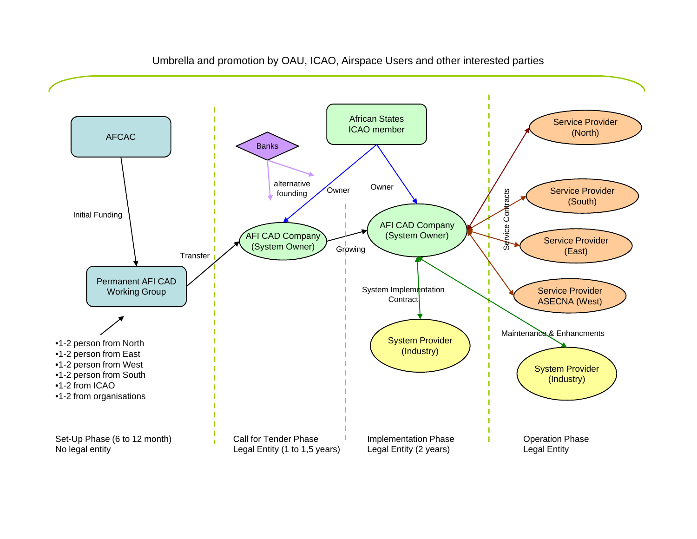

## Umbrella and promotion by OAU, ICAO, Airspace Users and other interested parties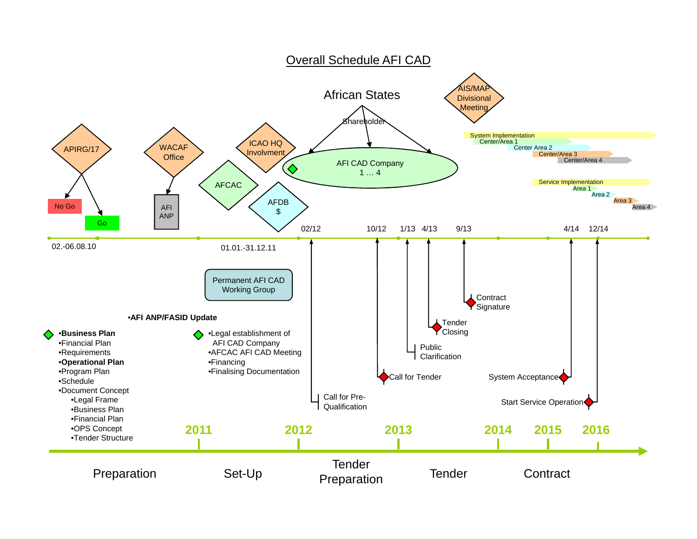